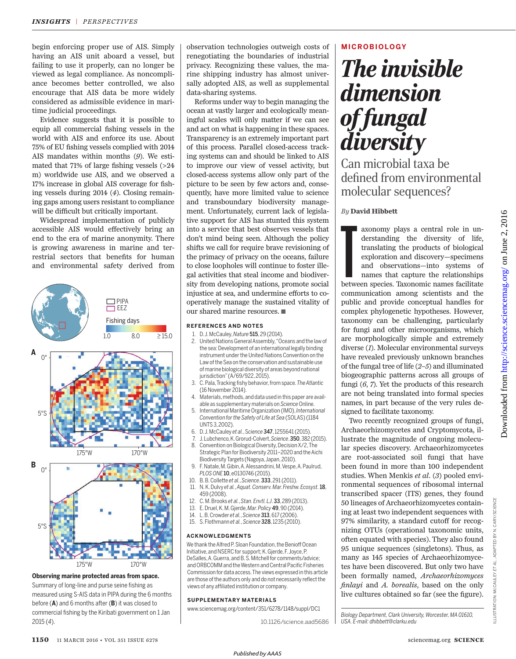begin enforcing proper use of AIS. Simply having an AIS unit aboard a vessel, but failing to use it properly, can no longer be viewed as legal compliance. As noncompliance becomes better controlled, we also encourage that AIS data be more widely considered as admissible evidence in maritime judicial proceedings.

Evidence suggests that it is possible to equip all commercial fishing vessels in the world with AIS and enforce its use. About 75% of EU fishing vessels complied with 2014 AIS mandates within months (*9*). We estimated that  $71\%$  of large fishing vessels ( $>24$ m) worldwide use AIS, and we observed a 17% increase in global AIS coverage for fishing vessels during 2014 (*4*). Closing remaining gaps among users resistant to compliance will be difficult but critically important.

Widespread implementation of publicly accessible AIS would effectively bring an end to the era of marine anonymity. There is growing awareness in marine and terrestrial sectors that benefits for human and environmental safety derived from



#### **Observing marine protected areas from space.**

Summary of long-line and purse seine fishing as measured using S-AIS data in PIPA during the 6 months before (**A**) and 6 months after (**B**) it was closed to commercial fishing by the Kiribati government on 1 Jan 2015 (*4*).

observation technologies outweigh costs of renegotiating the boundaries of industrial privacy. Recognizing these values, the marine shipping industry has almost universally adopted AIS, as well as supplemental data-sharing systems.

Reforms under way to begin managing the ocean at vastly larger and ecologically meaningful scales will only matter if we can see and act on what is happening in these spaces. Transparency is an extremely important part of this process. Parallel closed-access tracking systems can and should be linked to AIS to improve our view of vessel activity, but closed-access systems allow only part of the picture to be seen by few actors and, consequently, have more limited value to science and transboundary biodiversity management. Unfortunately, current lack of legislative support for AIS has stunted this system into a service that best observes vessels that don't mind being seen. Although the policy shifts we call for require brave revisioning of the primacy of privacy on the oceans, failure to close loopholes will continue to foster illegal activities that steal income and biodiversity from developing nations, promote social injustice at sea, and undermine efforts to cooperatively manage the sustained vitality of our shared marine resources. ■

#### **REFERENCES AND NOTES**

- 1. D. J. McCauley, *Nature* **515**, 29 (2014).<br>2. United Nations General Assembly. "O
- 2. United Nations General Assembly, "Oceans and the law of the sea: Development of an international legally binding instrument under the United Nations Convention on the Law of the Sea on the conservation and sustainable use of marine biological diversity of areas beyond national jurisdiction" (A/69/922, 2015).
- 3. C. Pala, Tracking f shy behavior, from space. *The Atlantic* (16 November 2014).
- 4. Materials, methods, and data used in this paper are available as supplementary materials on *Science* Online.
- 5. International Maritime Organization (IMO), *International Convention for the Safety of Life at Sea* (SOLAS) (1184 UNTS 3, 2002).
- 6. D. J. McCauley *et al.*, S*cience* 347, 1255641 (2015).
- 7. J. Lubchenco, K. Grorud-Colvert, *Science*. 350, 382 (2015).
- Convention on Biological Diversity, Decision X/2, The Strategic Plan for Biodiversity 2011–2020 and the Aichi Biodiversity Targets (Nagoya, Japan, 2010).
- 9. F. Natale, M. Gibin, A. Alessandrini, M. Vespe, A. Paulrud, *PLOS ONE* 10, e0130746 (2015).
- 10. B. B. Collette *et al.*, *Science*. 333, 291 (2011).
- 11. N. K. Dulvy *et al.*, *Aquat. Conserv. Mar. Freshw. Ecosyst.*18, 459 (2008).
- 12. C. M. Brooks *et al.*, *Stan. Envtl. LJ*. 33, 289 (2013).
- 13. E. Druel, K. M. Gjerde, *Mar. Policy* 49, 90 (2014).
- 14. L. B. Crowder *et al.*, *Science* 313, 617 (2006).
- 15. S. Flothmann *et al.*, *Science* 328, 1235 (2010).

#### **ACKNOWLEDGMENTS**

We thank the Alfred P. Sloan Foundation, the Benioff Ocean Initiative, and NSERC for support; K. Gjerde, F. Joyce, P. DeSalles, A. Guerra, and B. S. Mitchell for comments/advice; and ORBCOMM and the Western and Central Pacific Fisheries Commission for data access. The views expressed in this article are those of the authors only and do not necessarily reflect the views of any affiliated institution or company.

#### **SUPPLEMENTARY MATERIALS**

www.sciencemag.org/content/351/6278/1148/suppl/DC1

#### 10.1126/science.aad5686

#### **MICROBIOLOGY**

# *The invisible dimension of fungal diversity*

Can microbial taxa be defined from environmental molecular sequences?

### *By* **David Hibbett**

axonomy plays a central role in understanding the diversity of life, translating the products of biological exploration and discovery—specimens and observations—into systems of names that capture the relationships between axonomy plays a central role in understanding the diversity of life, translating the products of biological exploration and discovery—specimens and observations—into systems of names that capture the relationships communication among scientists and the public and provide conceptual handles for complex phylogenetic hypotheses. However, taxonomy can be challenging, particularly for fungi and other microorganisms, which are morphologically simple and extremely diverse (1). Molecular environmental surveys have revealed previously unknown branches of the fungal tree of life (*2*–*5*) and illuminated biogeographic patterns across all groups of fungi (*6*, *7*). Yet the products of this research are not being translated into formal species names, in part because of the very rules designed to facilitate taxonomy. Two recently recognized groups of fungi,

Archaeorhizomycetes and Cryptomycota, illustrate the magnitude of ongoing molecular species discovery. Archaeorhizomycetes are root-associated soil fungi that have been found in more than 100 independent studies. When Menkis *et al.* (*3*) pooled environmental sequences of ribosomal internal transcribed spacer (ITS) genes, they found 50 lineages of Archaeorhizomycetes containing at least two independent sequences with 97% similarity, a standard cutoff for recognizing OTUs (operational taxonomic units, often equated with species). They also found 95 unique sequences (singletons). Thus, as many as 145 species of Archaeorhizomycetes have been discovered. But only two have been formally named, *Archaeorhizomyces fi nlayi* and *A. borealis*, based on the only live cultures obtained so far (see the figure). *Biology Department, Clark University, Worcester, MA 01610,* 

<http://science.sciencemag.org/> on June 2, 2016

Downloaded from http://science.sciencemag.org/ on June 2, 2016

Downloaded from

*USA. E-mail: dhibbett@clarku.edu*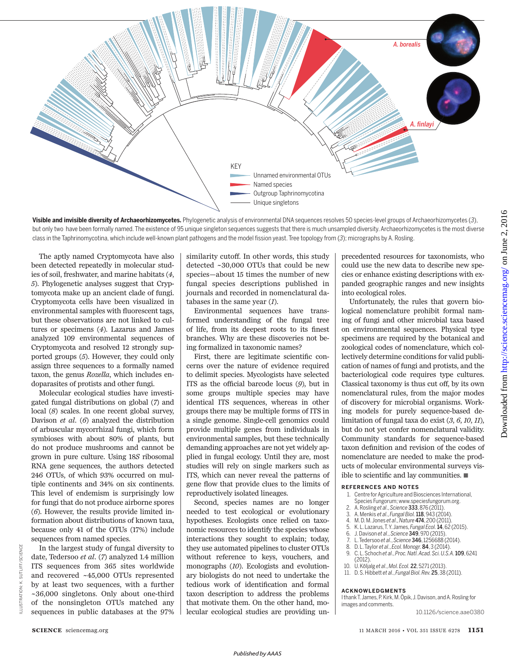

**Visible and invisible diversity of Archaeorhizomycetes.** Phylogenetic analysis of environmental DNA sequences resolves 50 species-level groups of Archaeorhizomycetes (*3*), but only two have been formally named. The existence of 95 unique singleton sequences suggests that there is much unsampled diversity. Archaeorhizomycetes is the most diverse class in the Taphrinomycotina, which include well-known plant pathogens and the model fission yeast. Tree topology from (3); micrographs by A. Rosling.

The aptly named Cryptomycota have also been detected repeatedly in molecular studies of soil, freshwater, and marine habitats (*4*, *5*). Phylogenetic analyses suggest that Cryptomycota make up an ancient clade of fungi. Cryptomycota cells have been visualized in environmental samples with fluorescent tags, but these observations are not linked to cultures or specimens (*4*). Lazarus and James analyzed 109 environmental sequences of Cryptomycota and resolved 12 strongly supported groups (*5*). However, they could only assign three sequences to a formally named taxon, the genus *Rozella*, which includes endoparasites of protists and other fungi.

Molecular ecological studies have investigated fungal distributions on global (*7*) and local (*8*) scales. In one recent global survey, Davison *et al.* (*6*) analyzed the distribution of arbuscular mycorrhizal fungi, which form symbioses with about 80% of plants, but do not produce mushrooms and cannot be grown in pure culture. Using 18*S* ribosomal RNA gene sequences, the authors detected 246 OTUs, of which 93% occurred on multiple continents and 34% on six continents. This level of endemism is surprisingly low for fungi that do not produce airborne spores (*6*). However, the results provide limited information about distributions of known taxa, because only 41 of the OTUs (17%) include sequences from named species.

similarity cutoff. In other words, this study detected ~30,000 OTUs that could be new species—about 15 times the number of new fungal species descriptions published in journals and recorded in nomenclatural databases in the same year (*1*).

Environmental sequences have transformed understanding of the fungal tree of life, from its deepest roots to its finest branches. Why are these discoveries not being formalized in taxonomic names?

First, there are legitimate scientific concerns over the nature of evidence required to delimit species. Mycologists have selected ITS as the official barcode locus  $(9)$ , but in some groups multiple species may have identical ITS sequences, whereas in other groups there may be multiple forms of ITS in a single genome. Single-cell genomics could provide multiple genes from individuals in environmental samples, but these technically demanding approaches are not yet widely applied in fungal ecology. Until they are, most studies will rely on single markers such as ITS, which can never reveal the patterns of gene flow that provide clues to the limits of reproductively isolated lineages.

Second, species names are no longer needed to test ecological or evolutionary hypotheses. Ecologists once relied on taxonomic resources to identify the species whose interactions they sought to explain; today, they use automated pipelines to cluster OTUs without reference to keys, vouchers, and monographs (*10*). Ecologists and evolutionary biologists do not need to undertake the tedious work of identification and formal taxon description to address the problems that motivate them. On the other hand, molecular ecological studies are providing unprecedented resources for taxonomists, who could use the new data to describe new species or enhance existing descriptions with expanded geographic ranges and new insights into ecological roles.

Unfortunately, the rules that govern biological nomenclature prohibit formal naming of fungi and other microbial taxa based on environmental sequences. Physical type specimens are required by the botanical and zoological codes of nomenclature, which collectively determine conditions for valid publication of names of fungi and protists, and the bacteriological code requires type cultures. Classical taxonomy is thus cut off, by its own nomenclatural rules, from the major modes of discovery for microbial organisms. Working models for purely sequence-based delimitation of fungal taxa do exist (*3*, *6*, *10*, *11*), but do not yet confer nomenclatural validity. Community standards for sequence-based taxon definition and revision of the codes of nomenclature are needed to make the products of molecular environmental surveys visible to scientific and lay communities.  $\blacksquare$ 

#### **REFERENCES AND NOTES**

- 1. Centre for Agriculture and Biosciences International, Species Fungorum; www.speciesfungorum.org.
- 2. A. Rosling *et al*., *Science* 333, 876 (2011).
- 3. A. Menkis *et al*., *Fungal Biol.*118, 943 (2014).
- 4. M. D. M. Jones *et al*., *Nature* 474, 200 (2011).
- 5. K. L. Lazarus, T. Y. James, *Fungal Ecol.*14, 62 (2015).
- 6. J. Davison *et al*., *Science* 349, 970 (2015). 7. L. Tedersoo *et al*., *Science* 346, 1256688 (2014).
- 8. D. L. Taylor *et al*., *Ecol. Monogr.* 84, 3 (2014).
- 9. C. L. Schoch *et al*., *Proc. Natl. Acad. Sci. U.S.A.*109, 6241  $(2012)$
- 10. U. Kõljalg *et al*., *Mol. Ecol.* 22, 5271 (2013).
- 11. D. S. Hibbett *et al*., *Fungal Biol. Rev.* 25, 38 (2011).

#### **ACKNOWLEDGMENTS**

I thank T. James, P. Kirk, M. Öpik, J. Davison, and A. Rosling for images and comments.

10.1126/science.aae0380

ILLUSTRATION: K. SUTLIFF/*SCIENCE*

K. SUTLIFF/

LLUSTRATION:

SCIENCE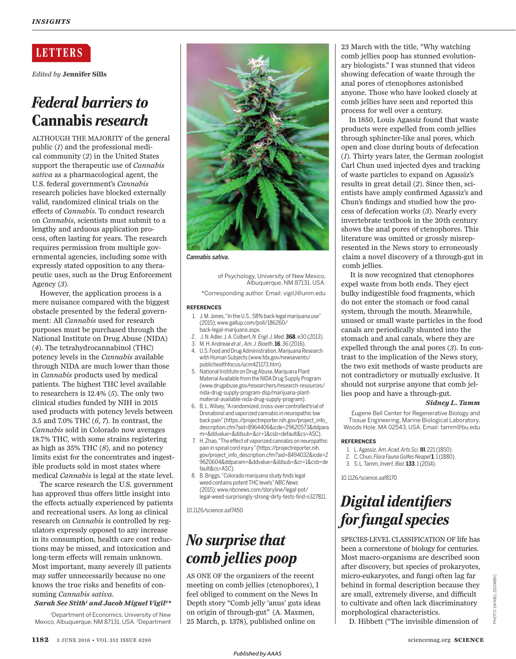### **LETTERS**

*Edited by* **Jennifer Sills**

### *Federal barriers to*  Cannabis *research*

ALTHOUGH THE MAJORITY of the general public (*1*) and the professional medical community (*2*) in the United States support the therapeutic use of *Cannabis sativa* as a pharmacological agent, the U.S. federal government's *Cannabis* research policies have blocked externally valid, randomized clinical trials on the effects of *Cannabis*. To conduct research on *Cannabis*, scientists must submit to a lengthy and arduous application process, often lasting for years. The research requires permission from multiple governmental agencies, including some with expressly stated opposition to any therapeutic uses, such as the Drug Enforcement Agency (*3*).

However, the application process is a mere nuisance compared with the biggest obstacle presented by the federal government: All *Cannabis* used for research purposes must be purchased through the National Institute on Drug Abuse (NIDA) (*4*). The tetrahydrocannabinol (THC) potency levels in the *Cannabis* available through NIDA are much lower than those in *Cannabis* products used by medical patients. The highest THC level available to researchers is 12.4% (*5*). The only two clinical studies funded by NIH in 2015 used products with potency levels between 3.5 and 7.0% THC (*6*, *7*). In contrast, the *Cannabis* sold in Colorado now averages 18.7% THC, with some strains registering as high as 35% THC (*8*), and no potency limits exist for the concentrates and ingestible products sold in most states where medical *Cannabis* is legal at the state level.

The scarce research the U.S. government has approved thus offers little insight into the effects actually experienced by patients and recreational users. As long as clinical research on *Cannabis* is controlled by regulators expressly opposed to any increase in its consumption, health care cost reductions may be missed, and intoxication and long-term effects will remain unknown. Most important, many severely ill patients may suffer unnecessarily because no one knows the true risks and benefits of consuming *Cannabis sativa*.

#### *Sarah See Stith<sup>1</sup> and Jacob Miguel Vigil<sup>2</sup> \**

<sup>1</sup>Department of Economics, University of New Mexico, Albuquerque, NM 87131, USA. <sup>2</sup>Department



*Cannabis sativa*.

of Psychology, University of New Mexico, Albuquerque, NM 87131, USA.

\*Corresponding author. Email: vigilJ@unm.edu

#### **REFERENCES**

- 1. J. M. Jones, "In the U.S., 58% back legal marijuana use" (2015); www.gallup.com/poll/186260/ back-legal-marijuana.aspx.
- 2. J. N. Adler, J. A. Colbert, *N. Engl. J. Med*. **368**, e30 (2013).
- 3. M. H. Andreae *et al*., *Am. J. Bioeth*. **16**, 36 (2016).
- 4. U.S. Food and Drug Administration, Marijuana Research with Human Subjects (www.fda.gov/newsevents/ publichealthfocus/ucm421173.htm).
- 5. National Institute on Drug Abuse, Marijuana Plant Material Available from the NIDA Drug Supply Program (www.drugabuse.gov/researchers/research-resources/ nida-drug-supply-program-dsp/marijuana-plantmaterial-available-nida-drug-supply-program).
- 6. B. L. Wilsey, "A randomized, cross-over controlled trial of Dronabinol and vaporized cannabis in neuropathic low back pain" (https://projectreporter.nih.gov/project\_info\_ description.cfm?aid=8964406&icde=29620573&ddpara m=&ddvalue=&ddsub=&cr=1&csb=default&cs=ASC).
- 7. H. Zhao, "The effect of vaporized cannabis on neuropathic pain in spinal cord injury" (https://projectreporter.nih. gov/project\_info\_description.cfm?aid=8494032&icde=2 9620604&ddparam=&ddvalue=&ddsub=&cr=1&csb=de fault&cs=ASC).
- 8. B. Briggs, "Colorado marijuana study finds legal weed contains potent THC levels" *NBC News* (2015); www.nbcnews.com/storyline/legal-pot/ legal-weed-surprisingly-strong-dirty-tests-find-n327811.

10.1126/science.aaf7450

## *No surprise that comb jellies poop*

AS ONE OF the organizers of the recent meeting on comb jellies (ctenophores), I feel obliged to comment on the News In Depth story "Comb jelly 'anus' guts ideas on origin of through-gut" (A. Maxmen, 25 March, p. 1378), published online on

23 March with the title, "Why watching comb jellies poop has stunned evolutionary biologists." I was stunned that videos showing defecation of waste through the anal pores of ctenophores astonished anyone. Those who have looked closely at comb jellies have seen and reported this process for well over a century.

In 1850, Louis Agassiz found that waste products were expelled from comb jellies through sphincter-like anal pores, which open and close during bouts of defecation (*1*). Thirty years later, the German zoologist Carl Chun used injected dyes and tracking of waste particles to expand on Agassiz's results in great detail (*2*). Since then, scientists have amply confirmed Agassiz's and Chun's findings and studied how the process of defecation works (*3*). Nearly every invertebrate textbook in the 20th century shows the anal pores of ctenophores. This literature was omitted or grossly misrepresented in the News story to erroneously claim a novel discovery of a through-gut in comb jellies.

It is now recognized that ctenophores expel waste from both ends. They eject bulky indigestible food fragments, which do not enter the stomach or food canal system, through the mouth. Meanwhile, unused or small waste particles in the food canals are periodically shunted into the stomach and anal canals, where they are expelled through the anal pores (*3*). In contrast to the implication of the News story, the two exit methods of waste products are not contradictory or mutually exclusive. It should not surprise anyone that comb jellies poop and have a through-gut.

#### *Sidney L. Tamm*

Eugene Bell Center for Regenerative Biology and Tissue Engineering, Marine Biological Laboratory, Woods Hole, MA 02543, USA. Email: tamm@bu.edu

#### **REFERENCES**

- 1. L. Agassiz, *Am. Acad. Arts Sci*. **III**, 221 (1850).
- 2. C. Chun, *Flora Fauna Golfes Neapel* **1**, 1 (1880).
- 3. S. L. Tamm, *Invert. Biol.* **133**, 1 (2014).

10.1126/science.aaf8170

## *Digital identifiers for fungal species*

SPECIES-LEVEL CLASSIFICATION OF life has been a cornerstone of biology for centuries. Most macro-organisms are described soon after discovery, but species of prokaryotes, micro-eukaryotes, and fungi often lag far behind in formal description because they are small, extremely diverse, and difficult to cultivate and often lack discriminatory morphological characteristics. D. Hibbett ("The invisible dimension of

DANIEL ZGOMBIC PHOTO: DANIEL ZGOMBIC PHOTO: